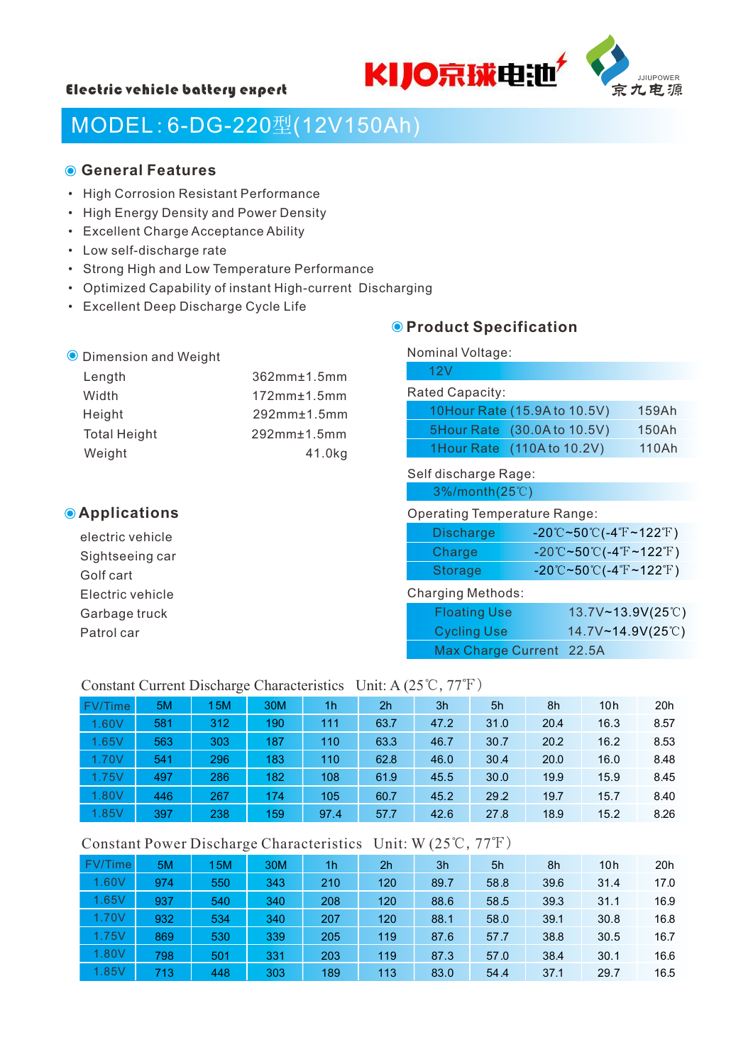



# MODEL:6-DG-220型(12V150Ah)

#### **General Features**

- High Corrosion Resistant Performance
- High Energy Density and Power Density
- Excellent Charge Acceptance Ability
- Low self-discharge rate
- Strong High and Low Temperature Performance
- Optimized Capability of instant High-current Discharging
- Excellent Deep Discharge Cycle Life

#### **O** Product Specification

| <b>O</b> Dimension and Weight |                   | Nominal Voltage:             |       |  |  |  |  |
|-------------------------------|-------------------|------------------------------|-------|--|--|--|--|
| Length                        | $362mm \pm 1.5mm$ | 12V                          |       |  |  |  |  |
| Width                         | $172mm \pm 1.5mm$ | Rated Capacity:              |       |  |  |  |  |
| Height                        | $292mm \pm 1.5mm$ | 10Hour Rate (15.9A to 10.5V) | 159Ah |  |  |  |  |
| <b>Total Height</b>           | $292mm \pm 1.5mm$ | 5Hour Rate (30.0A to 10.5V)  | 150Ah |  |  |  |  |
| Weight                        | 41.0kg            | 1Hour Rate (110A to 10.2V)   | 110Ah |  |  |  |  |
|                               |                   | Self discharge Rage:         |       |  |  |  |  |
|                               |                   | $3\%$ /month(25°C)           |       |  |  |  |  |

#### **Applications**

electric vehicle Sightseeing car Golf cart Electric vehicle Garbage truck Patrol car

#### Operating Temperature Range:

| Discharge | $-20^{\circ}$ C~50 $^{\circ}$ C(-4 $^{\circ}$ F~122 $^{\circ}$ F) |
|-----------|-------------------------------------------------------------------|
| Charge    | $-20^{\circ}$ C~50 $^{\circ}$ C(-4 $^{\circ}$ F~122 $^{\circ}$ F) |
| Storage   | $-20^{\circ}$ C~50 $^{\circ}$ C(-4 $^{\circ}$ F~122 $^{\circ}$ F) |

#### Charging Methods:

| <b>Floating Use</b>      | $13.7V - 13.9V(25°C)$ |
|--------------------------|-----------------------|
| Cycling Use              | 14.7V~14.9V(25°C)     |
| Max Charge Current 22.5A |                       |

#### Constant Current Discharge Characteristics Unit: A (25℃,77℉)

| FV/Time | 5M  | 15M | 30M | 1 <sub>h</sub> | 2 <sub>h</sub> | 3h   | 5h   | 8h   | 10h  | 20h  |
|---------|-----|-----|-----|----------------|----------------|------|------|------|------|------|
| 1.60V   | 581 | 312 | 190 | 111            | 63.7           | 47.2 | 31.0 | 20.4 | 16.3 | 8.57 |
| 1.65V   | 563 | 303 | 187 | 110            | 63.3           | 46.7 | 30.7 | 20.2 | 16.2 | 8.53 |
| 1.70V   | 541 | 296 | 183 | 110            | 62.8           | 46.0 | 30.4 | 20.0 | 16.0 | 8.48 |
| 1.75V   | 497 | 286 | 182 | 108            | 61.9           | 45.5 | 30.0 | 19.9 | 15.9 | 8.45 |
| 1.80V   | 446 | 267 | 174 | 105            | 60.7           | 45.2 | 29.2 | 19.7 | 15.7 | 8.40 |
| 1.85V   | 397 | 238 | 159 | 97.4           | 57.7           | 42.6 | 27.8 | 18.9 | 15.2 | 8.26 |

#### Constant Power Discharge Characteristics Unit: W (25℃,77℉)

| FV/Time | 5M  | 15M | 30M | 1 <sub>h</sub> | 2 <sub>h</sub> | 3h   | 5h   | 8h   | 10 <sub>h</sub> | 20h  |
|---------|-----|-----|-----|----------------|----------------|------|------|------|-----------------|------|
| 1.60V   | 974 | 550 | 343 | 210            | 120            | 89.7 | 58.8 | 39.6 | 31.4            | 17.0 |
| 1.65V   | 937 | 540 | 340 | 208            | 120            | 88.6 | 58.5 | 39.3 | 31.1            | 16.9 |
| 1.70V   | 932 | 534 | 340 | 207            | 120            | 88.1 | 58.0 | 39.1 | 30.8            | 16.8 |
| 1.75V   | 869 | 530 | 339 | 205            | 119            | 87.6 | 57.7 | 38.8 | 30.5            | 16.7 |
| 1.80V   | 798 | 501 | 331 | 203            | 119            | 87.3 | 57.0 | 38.4 | 30.1            | 16.6 |
| 1.85V   | 713 | 448 | 303 | 189            | 113            | 83.0 | 54.4 | 37.1 | 29.7            | 16.5 |